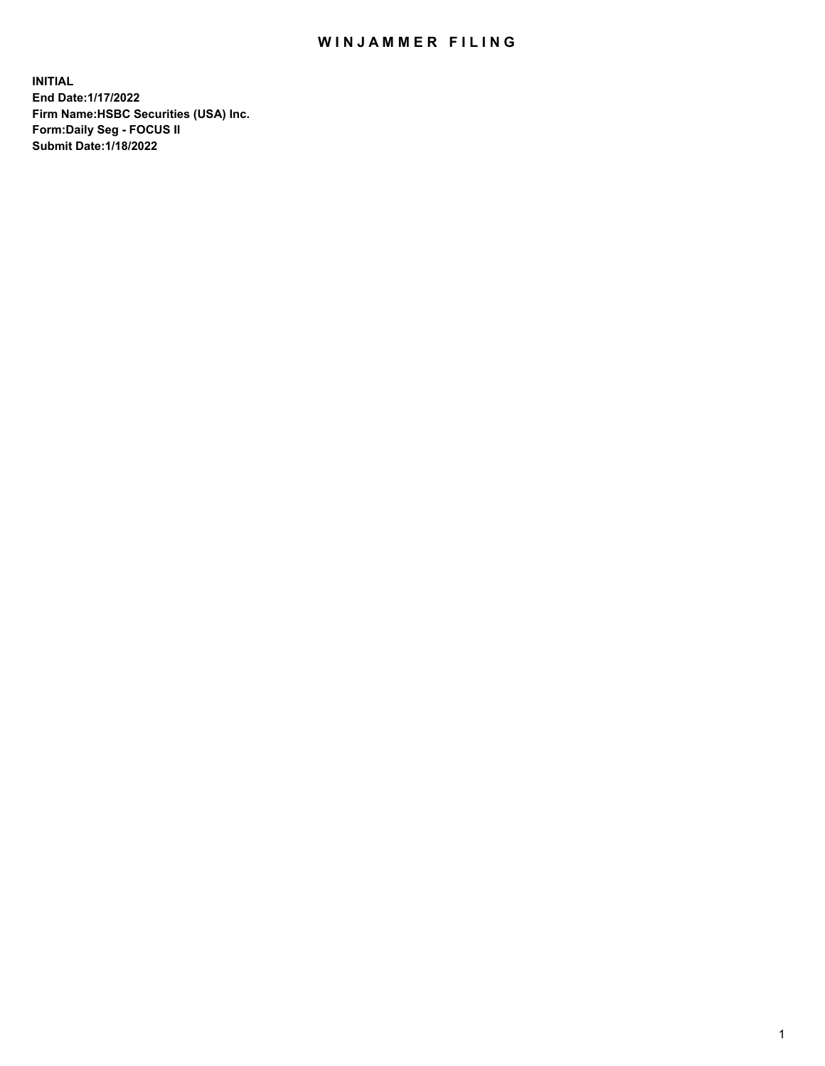## WIN JAMMER FILING

**INITIAL End Date:1/17/2022 Firm Name:HSBC Securities (USA) Inc. Form:Daily Seg - FOCUS II Submit Date:1/18/2022**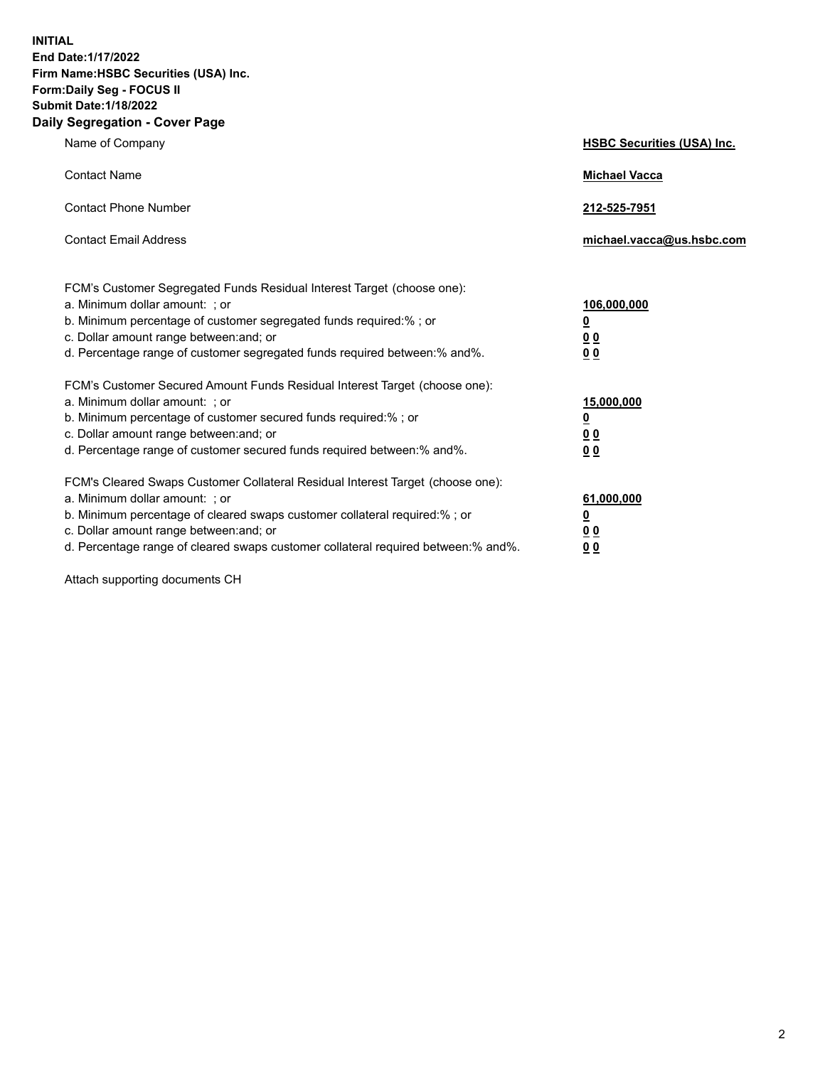**INITIAL End Date:1/17/2022 Firm Name:HSBC Securities (USA) Inc. Form:Daily Seg - FOCUS II Submit Date:1/18/2022 Daily Segregation - Cover Page**

| Name of Company                                                                                                                                                                                                                                                                                                                | <b>HSBC Securities (USA) Inc.</b>                           |
|--------------------------------------------------------------------------------------------------------------------------------------------------------------------------------------------------------------------------------------------------------------------------------------------------------------------------------|-------------------------------------------------------------|
| <b>Contact Name</b>                                                                                                                                                                                                                                                                                                            | <b>Michael Vacca</b>                                        |
| <b>Contact Phone Number</b>                                                                                                                                                                                                                                                                                                    | 212-525-7951                                                |
| <b>Contact Email Address</b>                                                                                                                                                                                                                                                                                                   | michael.vacca@us.hsbc.com                                   |
| FCM's Customer Segregated Funds Residual Interest Target (choose one):<br>a. Minimum dollar amount: ; or<br>b. Minimum percentage of customer segregated funds required:% ; or<br>c. Dollar amount range between: and; or<br>d. Percentage range of customer segregated funds required between:% and%.                         | 106,000,000<br><u>0</u><br>0 <sub>0</sub><br>0 <sub>0</sub> |
| FCM's Customer Secured Amount Funds Residual Interest Target (choose one):<br>a. Minimum dollar amount: ; or<br>b. Minimum percentage of customer secured funds required:% ; or<br>c. Dollar amount range between: and; or<br>d. Percentage range of customer secured funds required between: % and %.                         | 15,000,000<br><u>0</u><br>0 <sub>0</sub><br>0 <sub>0</sub>  |
| FCM's Cleared Swaps Customer Collateral Residual Interest Target (choose one):<br>a. Minimum dollar amount: ; or<br>b. Minimum percentage of cleared swaps customer collateral required:% ; or<br>c. Dollar amount range between: and; or<br>d. Percentage range of cleared swaps customer collateral required between:% and%. | 61,000,000<br><u>0</u><br>00<br>00                          |

Attach supporting documents CH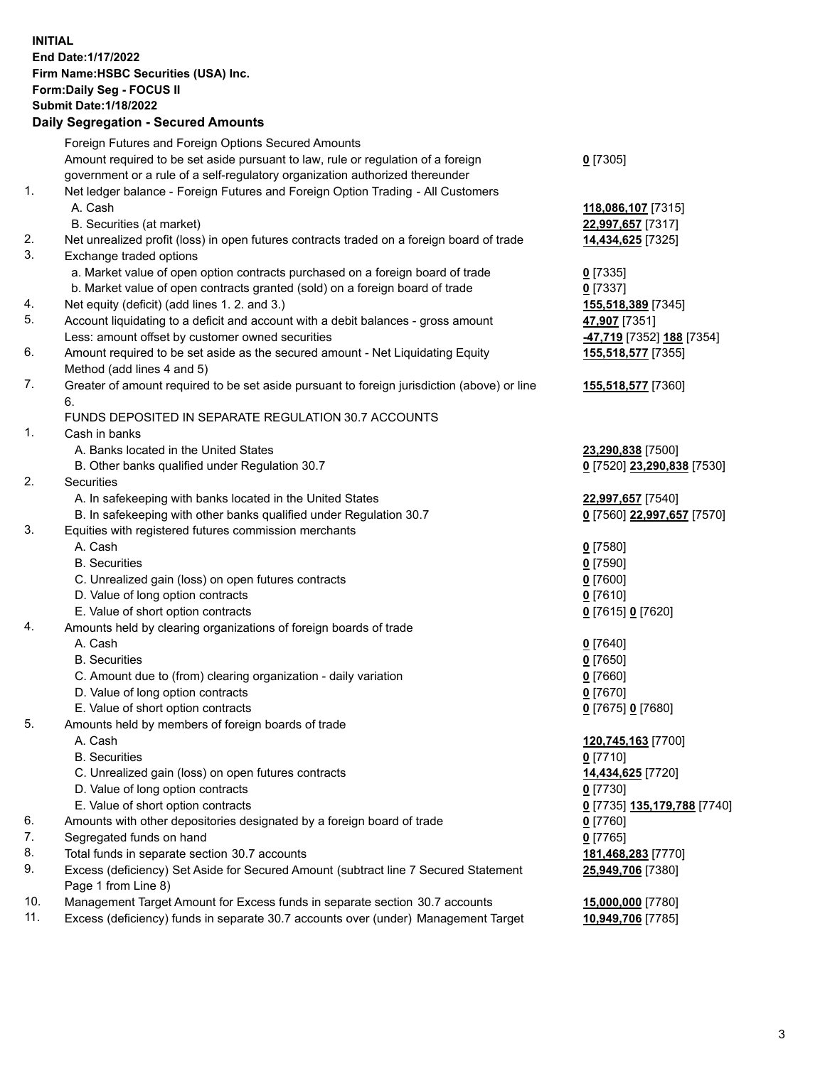**INITIAL End Date:1/17/2022 Firm Name:HSBC Securities (USA) Inc. Form:Daily Seg - FOCUS II Submit Date:1/18/2022 Daily Segregation - Secured Amounts** Foreign Futures and Foreign Options Secured Amounts Amount required to be set aside pursuant to law, rule or regulation of a foreign government or a rule of a self-regulatory organization authorized thereunder **0** [7305] 1. Net ledger balance - Foreign Futures and Foreign Option Trading - All Customers A. Cash **118,086,107** [7315] B. Securities (at market) **22,997,657** [7317] 2. Net unrealized profit (loss) in open futures contracts traded on a foreign board of trade **14,434,625** [7325] 3. Exchange traded options a. Market value of open option contracts purchased on a foreign board of trade **0** [7335] b. Market value of open contracts granted (sold) on a foreign board of trade **0** [7337] 4. Net equity (deficit) (add lines 1. 2. and 3.) **155,518,389** [7345] 5. Account liquidating to a deficit and account with a debit balances - gross amount **47,907** [7351] Less: amount offset by customer owned securities **-47,719** [7352] **188** [7354] 6. Amount required to be set aside as the secured amount - Net Liquidating Equity Method (add lines 4 and 5) **155,518,577** [7355] 7. Greater of amount required to be set aside pursuant to foreign jurisdiction (above) or line 6. **155,518,577** [7360] FUNDS DEPOSITED IN SEPARATE REGULATION 30.7 ACCOUNTS 1. Cash in banks A. Banks located in the United States **23,290,838** [7500] B. Other banks qualified under Regulation 30.7 **0** [7520] **23,290,838** [7530] 2. Securities A. In safekeeping with banks located in the United States **22,997,657** [7540] B. In safekeeping with other banks qualified under Regulation 30.7 **0** [7560] **22,997,657** [7570] 3. Equities with registered futures commission merchants A. Cash **0** [7580] B. Securities **0** [7590] C. Unrealized gain (loss) on open futures contracts **0** [7600] D. Value of long option contracts **0** [7610] E. Value of short option contracts **0** [7615] **0** [7620] 4. Amounts held by clearing organizations of foreign boards of trade A. Cash **0** [7640] B. Securities **0** [7650] C. Amount due to (from) clearing organization - daily variation **0** [7660] D. Value of long option contracts **0** [7670] E. Value of short option contracts **0** [7675] **0** [7680] 5. Amounts held by members of foreign boards of trade A. Cash **120,745,163** [7700] B. Securities **0** [7710] C. Unrealized gain (loss) on open futures contracts **14,434,625** [7720] D. Value of long option contracts **0** [7730]

- E. Value of short option contracts **0** [7735] **135,179,788** [7740]
- 6. Amounts with other depositories designated by a foreign board of trade **0** [7760]
- 7. Segregated funds on hand **0** [7765]
- 8. Total funds in separate section 30.7 accounts **181,468,283** [7770]
- 9. Excess (deficiency) Set Aside for Secured Amount (subtract line 7 Secured Statement Page 1 from Line 8)
- 10. Management Target Amount for Excess funds in separate section 30.7 accounts **15,000,000** [7780]
- 11. Excess (deficiency) funds in separate 30.7 accounts over (under) Management Target **10,949,706** [7785]

**25,949,706** [7380]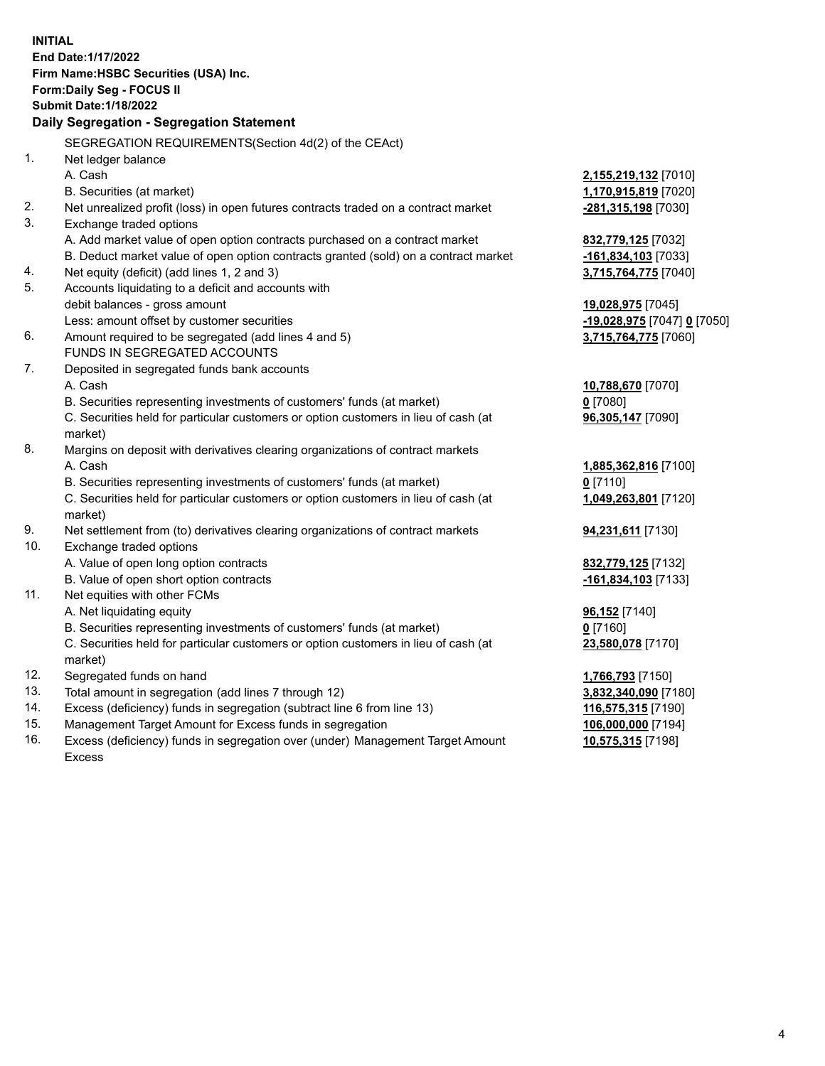| End Date: 1/17/2022<br>Firm Name: HSBC Securities (USA) Inc.<br>Form: Daily Seg - FOCUS II<br><b>Submit Date: 1/18/2022</b><br>Daily Segregation - Segregation Statement<br>SEGREGATION REQUIREMENTS(Section 4d(2) of the CEAct)<br>1.<br>Net ledger balance<br>A. Cash<br>2,155,219,132 [7010]<br>B. Securities (at market)<br>1,170,915,819 [7020]<br>2.<br>Net unrealized profit (loss) in open futures contracts traded on a contract market<br>$-281,315,198$ [7030]<br>3.<br>Exchange traded options<br>A. Add market value of open option contracts purchased on a contract market<br>832,779,125 [7032]<br>B. Deduct market value of open option contracts granted (sold) on a contract market<br>-161,834,103 [7033] |  |
|-------------------------------------------------------------------------------------------------------------------------------------------------------------------------------------------------------------------------------------------------------------------------------------------------------------------------------------------------------------------------------------------------------------------------------------------------------------------------------------------------------------------------------------------------------------------------------------------------------------------------------------------------------------------------------------------------------------------------------|--|
|                                                                                                                                                                                                                                                                                                                                                                                                                                                                                                                                                                                                                                                                                                                               |  |
|                                                                                                                                                                                                                                                                                                                                                                                                                                                                                                                                                                                                                                                                                                                               |  |
|                                                                                                                                                                                                                                                                                                                                                                                                                                                                                                                                                                                                                                                                                                                               |  |
|                                                                                                                                                                                                                                                                                                                                                                                                                                                                                                                                                                                                                                                                                                                               |  |
|                                                                                                                                                                                                                                                                                                                                                                                                                                                                                                                                                                                                                                                                                                                               |  |
|                                                                                                                                                                                                                                                                                                                                                                                                                                                                                                                                                                                                                                                                                                                               |  |
|                                                                                                                                                                                                                                                                                                                                                                                                                                                                                                                                                                                                                                                                                                                               |  |
|                                                                                                                                                                                                                                                                                                                                                                                                                                                                                                                                                                                                                                                                                                                               |  |
|                                                                                                                                                                                                                                                                                                                                                                                                                                                                                                                                                                                                                                                                                                                               |  |
|                                                                                                                                                                                                                                                                                                                                                                                                                                                                                                                                                                                                                                                                                                                               |  |
|                                                                                                                                                                                                                                                                                                                                                                                                                                                                                                                                                                                                                                                                                                                               |  |
|                                                                                                                                                                                                                                                                                                                                                                                                                                                                                                                                                                                                                                                                                                                               |  |
|                                                                                                                                                                                                                                                                                                                                                                                                                                                                                                                                                                                                                                                                                                                               |  |
| Net equity (deficit) (add lines 1, 2 and 3)<br>3,715,764,775 [7040]<br>4.                                                                                                                                                                                                                                                                                                                                                                                                                                                                                                                                                                                                                                                     |  |
| 5.<br>Accounts liquidating to a deficit and accounts with                                                                                                                                                                                                                                                                                                                                                                                                                                                                                                                                                                                                                                                                     |  |
| debit balances - gross amount<br>19,028,975 [7045]                                                                                                                                                                                                                                                                                                                                                                                                                                                                                                                                                                                                                                                                            |  |
| Less: amount offset by customer securities<br>-19,028,975 [7047] 0 [7050]                                                                                                                                                                                                                                                                                                                                                                                                                                                                                                                                                                                                                                                     |  |
| 6.<br>Amount required to be segregated (add lines 4 and 5)<br>3,715,764,775 [7060]                                                                                                                                                                                                                                                                                                                                                                                                                                                                                                                                                                                                                                            |  |
| FUNDS IN SEGREGATED ACCOUNTS                                                                                                                                                                                                                                                                                                                                                                                                                                                                                                                                                                                                                                                                                                  |  |
| 7.<br>Deposited in segregated funds bank accounts                                                                                                                                                                                                                                                                                                                                                                                                                                                                                                                                                                                                                                                                             |  |
| A. Cash<br>10,788,670 [7070]                                                                                                                                                                                                                                                                                                                                                                                                                                                                                                                                                                                                                                                                                                  |  |
| B. Securities representing investments of customers' funds (at market)<br>$0$ [7080]                                                                                                                                                                                                                                                                                                                                                                                                                                                                                                                                                                                                                                          |  |
| C. Securities held for particular customers or option customers in lieu of cash (at<br>96,305,147 [7090]                                                                                                                                                                                                                                                                                                                                                                                                                                                                                                                                                                                                                      |  |
| market)                                                                                                                                                                                                                                                                                                                                                                                                                                                                                                                                                                                                                                                                                                                       |  |
| 8.<br>Margins on deposit with derivatives clearing organizations of contract markets                                                                                                                                                                                                                                                                                                                                                                                                                                                                                                                                                                                                                                          |  |
| A. Cash<br>1,885,362,816 [7100]                                                                                                                                                                                                                                                                                                                                                                                                                                                                                                                                                                                                                                                                                               |  |
| B. Securities representing investments of customers' funds (at market)<br>$0$ [7110]                                                                                                                                                                                                                                                                                                                                                                                                                                                                                                                                                                                                                                          |  |
| C. Securities held for particular customers or option customers in lieu of cash (at<br>1,049,263,801 [7120]                                                                                                                                                                                                                                                                                                                                                                                                                                                                                                                                                                                                                   |  |
| market)                                                                                                                                                                                                                                                                                                                                                                                                                                                                                                                                                                                                                                                                                                                       |  |
| 9.<br>Net settlement from (to) derivatives clearing organizations of contract markets<br>94,231,611 [7130]                                                                                                                                                                                                                                                                                                                                                                                                                                                                                                                                                                                                                    |  |
| 10.<br>Exchange traded options                                                                                                                                                                                                                                                                                                                                                                                                                                                                                                                                                                                                                                                                                                |  |
| A. Value of open long option contracts<br>832,779,125 [7132]                                                                                                                                                                                                                                                                                                                                                                                                                                                                                                                                                                                                                                                                  |  |
| B. Value of open short option contracts<br>-161,834,103 [7133]                                                                                                                                                                                                                                                                                                                                                                                                                                                                                                                                                                                                                                                                |  |
| 11.<br>Net equities with other FCMs                                                                                                                                                                                                                                                                                                                                                                                                                                                                                                                                                                                                                                                                                           |  |
| A. Net liquidating equity<br>96,152 [7140]                                                                                                                                                                                                                                                                                                                                                                                                                                                                                                                                                                                                                                                                                    |  |
| B. Securities representing investments of customers' funds (at market)<br>$0$ [7160]                                                                                                                                                                                                                                                                                                                                                                                                                                                                                                                                                                                                                                          |  |
| C. Securities held for particular customers or option customers in lieu of cash (at<br>23,580,078 [7170]<br>market)                                                                                                                                                                                                                                                                                                                                                                                                                                                                                                                                                                                                           |  |
| 12.<br>Segregated funds on hand<br>1,766,793 [7150]                                                                                                                                                                                                                                                                                                                                                                                                                                                                                                                                                                                                                                                                           |  |
| 13.<br>Total amount in segregation (add lines 7 through 12)<br>3,832,340,090 [7180]                                                                                                                                                                                                                                                                                                                                                                                                                                                                                                                                                                                                                                           |  |
| 14.<br>Excess (deficiency) funds in segregation (subtract line 6 from line 13)<br>116,575,315 [7190]                                                                                                                                                                                                                                                                                                                                                                                                                                                                                                                                                                                                                          |  |
| 15.<br>Management Target Amount for Excess funds in segregation<br>106,000,000 [7194]                                                                                                                                                                                                                                                                                                                                                                                                                                                                                                                                                                                                                                         |  |
| 16.<br>Excess (deficiency) funds in segregation over (under) Management Target Amount<br>10,575,315 [7198]                                                                                                                                                                                                                                                                                                                                                                                                                                                                                                                                                                                                                    |  |

16. Excess (deficiency) funds in segregation over (under) Management Target Amount Excess